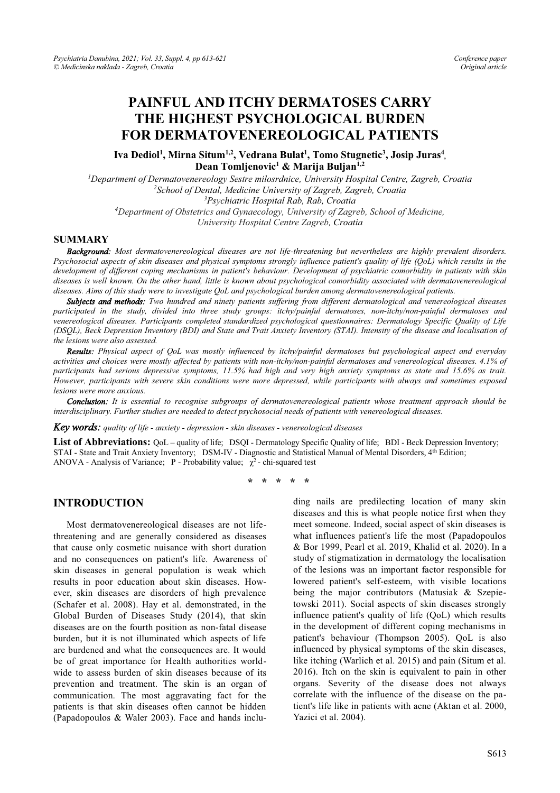# **PAINFUL AND ITCHY DERMATOSES CARRY THE HIGHEST PSYCHOLOGICAL BURDEN FOR DERMATOVENEREOLOGICAL PATIENTS**

Iva Dediol<sup>1</sup>, Mirna Situm<sup>1,2</sup>, Vedrana Bulat<sup>1</sup>, Tomo Stugnetic<sup>3</sup>, Josip Juras<sup>4</sup>, **Dean Tomljenovic1 & Marija Buljan1,2** 

*1 Department of Dermatovenereology Sestre milosrdnice, University Hospital Centre, Zagreb, Croatia 2 School of Dental, Medicine University of Zagreb, Zagreb, Croatia 3 Psychiatric Hospital Rab, Rab, Croatia 4 Department of Obstetrics and Gynaecology, University of Zagreb, School of Medicine, University Hospital Centre Zagreb, Croatia* 

#### **SUMMARY**

*Background: Most dermatovenereological diseases are not life-threatening but nevertheless are highly prevalent disorders. Psychosocial aspects of skin diseases and physical symptoms strongly influence patient's quality of life (QoL) which results in the development of different coping mechanisms in patient's behaviour. Development of psychiatric comorbidity in patients with skin diseases is well known. On the other hand, little is known about psychological comorbidity associated with dermatovenereological diseases. Aims of this study were to investigate QoL and psychological burden among dermatovenereological patients.* 

*Subjects and methods: Two hundred and ninety patients suffering from different dermatological and venereological diseases participated in the study, divided into three study groups: itchy/painful dermatoses, non-itchy/non-painful dermatoses and venereological diseases. Participants completed standardized psychological questionnaires: Dermatology Specific Quality of Life (DSQL), Beck Depression Inventory (BDI) and State and Trait Anxiety Inventory (STAI). Intensity of the disease and localisation of the lesions were also assessed.* 

*Results: Physical aspect of QoL was mostly influenced by itchy/painful dermatoses but psychological aspect and everyday activities and choices were mostly affected by patients with non-itchy/non-painful dermatoses and venereological diseases. 4.1% of participants had serious depressive symptoms, 11.5% had high and very high anxiety symptoms as state and 15.6% as trait. However, participants with severe skin conditions were more depressed, while participants with always and sometimes exposed lesions were more anxious.* 

*Conclusion: It is essential to recognise subgroups of dermatovenereological patients whose treatment approach should be interdisciplinary. Further studies are needed to detect psychosocial needs of patients with venereological diseases.* 

*Key words: quality of life - anxiety - depression - skin diseases - venereological diseases* 

**List of Abbreviations:** QoL – quality of life; DSQI - Dermatology Specific Quality of life; BDI - Beck Depression Inventory; STAI - State and Trait Anxiety Inventory; DSM-IV - Diagnostic and Statistical Manual of Mental Disorders, 4<sup>th</sup> Edition; ANOVA - Analysis of Variance; P - Probability value;  $\chi^2$  - chi-squared test

**\* \* \* \* \*** 

## **INTRODUCTION**

Most dermatovenereological diseases are not lifethreatening and are generally considered as diseases that cause only cosmetic nuisance with short duration and no consequences on patient's life. Awareness of skin diseases in general population is weak which results in poor education about skin diseases. However, skin diseases are disorders of high prevalence (Schafer et al. 2008). Hay et al. demonstrated, in the Global Burden of Diseases Study (2014), that skin diseases are on the fourth position as non-fatal disease burden, but it is not illuminated which aspects of life are burdened and what the consequences are. It would be of great importance for Health authorities worldwide to assess burden of skin diseases because of its prevention and treatment. The skin is an organ of communication. The most aggravating fact for the patients is that skin diseases often cannot be hidden (Papadopoulos & Waler 2003). Face and hands including nails are predilecting location of many skin diseases and this is what people notice first when they meet someone. Indeed, social aspect of skin diseases is what influences patient's life the most (Papadopoulos & Bor 1999, Pearl et al. 2019, Khalid et al. 2020). In a study of stigmatization in dermatology the localisation of the lesions was an important factor responsible for lowered patient's self-esteem, with visible locations being the major contributors (Matusiak & Szepietowski 2011). Social aspects of skin diseases strongly influence patient's quality of life (QoL) which results in the development of different coping mechanisms in patient's behaviour (Thompson 2005). QoL is also influenced by physical symptoms of the skin diseases, like itching (Warlich et al. 2015) and pain (Situm et al. 2016). Itch on the skin is equivalent to pain in other organs. Severity of the disease does not always correlate with the influence of the disease on the patient's life like in patients with acne (Aktan et al. 2000, Yazici et al. 2004).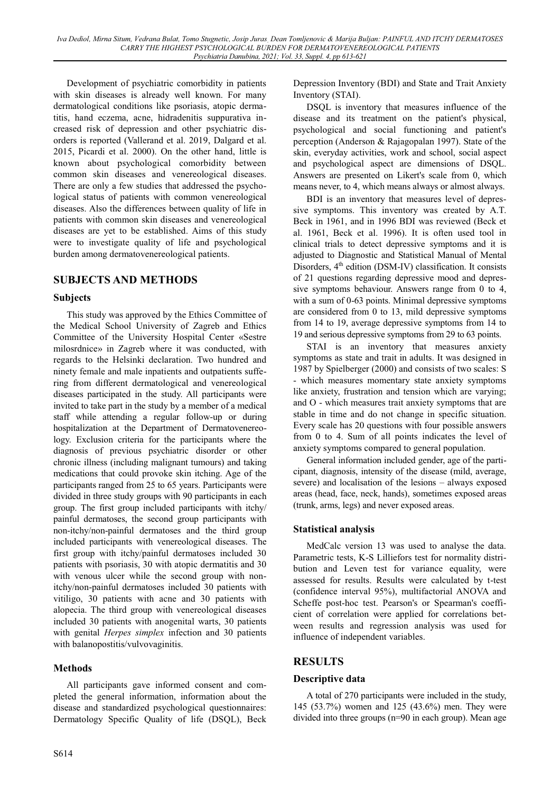Development of psychiatric comorbidity in patients with skin diseases is already well known. For many dermatological conditions like psoriasis, atopic dermatitis, hand eczema, acne, hidradenitis suppurativa increased risk of depression and other psychiatric disorders is reported (Vallerand et al. 2019, Dalgard et al. 2015, Picardi et al. 2000). On the other hand, little is known about psychological comorbidity between common skin diseases and venereological diseases. There are only a few studies that addressed the psychological status of patients with common venereological diseases. Also the differences between quality of life in patients with common skin diseases and venereological diseases are yet to be established. Aims of this study were to investigate quality of life and psychological burden among dermatovenereological patients.

# **SUBJECTS AND METHODS**

# **Subjects**

This study was approved by the Ethics Committee of the Medical School University of Zagreb and Ethics Committee of the University Hospital Center «Sestre milosrdnice» in Zagreb where it was conducted, with regards to the Helsinki declaration. Two hundred and ninety female and male inpatients and outpatients suffering from different dermatological and venereological diseases participated in the study. All participants were invited to take part in the study by a member of a medical staff while attending a regular follow-up or during hospitalization at the Department of Dermatovenereology. Exclusion criteria for the participants where the diagnosis of previous psychiatric disorder or other chronic illness (including malignant tumours) and taking medications that could provoke skin itching. Age of the participants ranged from 25 to 65 years. Participants were divided in three study groups with 90 participants in each group. The first group included participants with itchy/ painful dermatoses, the second group participants with non-itchy/non-painful dermatoses and the third group included participants with venereological diseases. The first group with itchy/painful dermatoses included 30 patients with psoriasis, 30 with atopic dermatitis and 30 with venous ulcer while the second group with nonitchy/non-painful dermatoses included 30 patients with vitiligo, 30 patients with acne and 30 patients with alopecia. The third group with venereological diseases included 30 patients with anogenital warts, 30 patients with genital *Herpes simplex* infection and 30 patients with balanopostitis/vulvovaginitis.

# **Methods**

All participants gave informed consent and completed the general information, information about the disease and standardized psychological questionnaires: Dermatology Specific Quality of life (DSQL), Beck

S614

Depression Inventory (BDI) and State and Trait Anxiety Inventory (STAI).

DSQL is inventory that measures influence of the disease and its treatment on the patient's physical, psychological and social functioning and patient's perception (Anderson & Rajagopalan 1997). State of the skin, everyday activities, work and school, social aspect and psychological aspect are dimensions of DSQL. Answers are presented on Likert's scale from 0, which means never, to 4, which means always or almost always.

BDI is an inventory that measures level of depressive symptoms. This inventory was created by A.T. Beck in 1961, and in 1996 BDI was reviewed (Beck et al. 1961, Beck et al. 1996). It is often used tool in clinical trials to detect depressive symptoms and it is adjusted to Diagnostic and Statistical Manual of Mental Disorders,  $4<sup>th</sup>$  edition (DSM-IV) classification. It consists of 21 questions regarding depressive mood and depressive symptoms behaviour. Answers range from 0 to 4, with a sum of 0-63 points. Minimal depressive symptoms are considered from 0 to 13, mild depressive symptoms from 14 to 19, average depressive symptoms from 14 to 19 and serious depressive symptoms from 29 to 63 points.

STAI is an inventory that measures anxiety symptoms as state and trait in adults. It was designed in 1987 by Spielberger (2000) and consists of two scales: S - which measures momentary state anxiety symptoms like anxiety, frustration and tension which are varying; and O - which measures trait anxiety symptoms that are stable in time and do not change in specific situation. Every scale has 20 questions with four possible answers from 0 to 4. Sum of all points indicates the level of anxiety symptoms compared to general population.

General information included gender, age of the participant, diagnosis, intensity of the disease (mild, average, severe) and localisation of the lesions  $-\frac{1}{2}$  always exposed areas (head, face, neck, hands), sometimes exposed areas (trunk, arms, legs) and never exposed areas.

# **Statistical analysis**

MedCalc version 13 was used to analyse the data. Parametric tests, K-S Lilliefors test for normality distribution and Leven test for variance equality, were assessed for results. Results were calculated by t-test (confidence interval 95%), multifactorial ANOVA and Scheffe post-hoc test. Pearson's or Spearman's coefficient of correlation were applied for correlations between results and regression analysis was used for influence of independent variables.

# **RESULTS**

# **Descriptive data**

A total of 270 participants were included in the study, 145 (53.7%) women and 125 (43.6%) men. They were divided into three groups (n=90 in each group). Mean age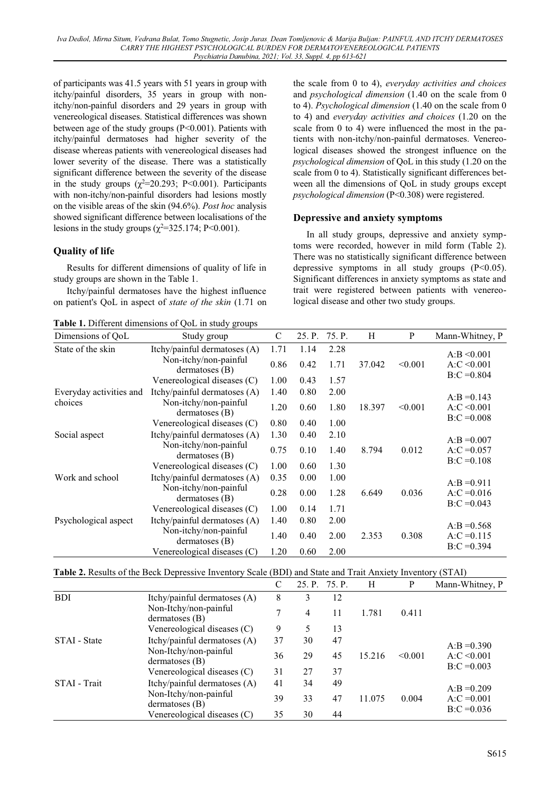of participants was 41.5 years with 51 years in group with itchy/painful disorders, 35 years in group with nonitchy/non-painful disorders and 29 years in group with venereological diseases. Statistical differences was shown between age of the study groups (P<0.001). Patients with itchy/painful dermatoses had higher severity of the disease whereas patients with venereological diseases had lower severity of the disease. There was a statistically significant difference between the severity of the disease in the study groups  $(\chi^2 = 20.293; \text{ P} < 0.001)$ . Participants with non-itchy/non-painful disorders had lesions mostly on the visible areas of the skin (94.6%). *Post hoc* analysis showed significant difference between localisations of the lesions in the study groups  $(\chi^2 = 325.174; P < 0.001)$ .

# **Quality of life**

Results for different dimensions of quality of life in study groups are shown in the Table 1.

Itchy/painful dermatoses have the highest influence on patient's QoL in aspect of *state of the skin* (1.71 on

**Table 1.** Different dimensions of QoL in study groups

the scale from 0 to 4), *everyday activities and choices*  and *psychological dimension* (1.40 on the scale from 0 to 4). *Psychological dimension* (1.40 on the scale from 0 to 4) and *everyday activities and choices* (1.20 on the scale from 0 to 4) were influenced the most in the patients with non-itchy/non-painful dermatoses. Venereological diseases showed the strongest influence on the *psychological dimension* of QoL in this study (1.20 on the scale from 0 to 4). Statistically significant differences between all the dimensions of QoL in study groups except *psychological dimension* (P<0.308) were registered.

## **Depressive and anxiety symptoms**

In all study groups, depressive and anxiety symptoms were recorded, however in mild form (Table 2). There was no statistically significant difference between depressive symptoms in all study groups (P<0.05). Significant differences in anxiety symptoms as state and trait were registered between patients with venereological disease and other two study groups.

| Dimensions of OoL       | <b>rapic 1.</b> Different difficultions of QUE in study groups<br>Study group | $\mathcal{C}$ | 25. P.       | 75. P.       | H      | P       | Mann-Whitney, P                 |
|-------------------------|-------------------------------------------------------------------------------|---------------|--------------|--------------|--------|---------|---------------------------------|
| State of the skin       | Itchy/painful dermatoses (A)                                                  | 1.71          | 1.14         | 2.28         |        |         | $A:B \leq 0.001$                |
|                         | Non-itchy/non-painful<br>dermatoses (B)                                       | 0.86          | 0.42         | 1.71         | 37.042 | < 0.001 | $A:C \leq 0.001$                |
|                         | Venereological diseases (C)                                                   | 1.00          | 0.43         | 1.57         |        |         | $B:C = 0.804$                   |
| Everyday activities and | Itchy/painful dermatoses $(A)$                                                | 1.40          | 0.80         | 2.00         |        |         | $A:B = 0.143$                   |
| choices                 | Non-itchy/non-painful<br>$d$ ermatoses $(B)$                                  | 1.20          | 0.60         | 1.80         | 18.397 | < 0.001 | $A:C \leq 0.001$                |
|                         | Venereological diseases (C)                                                   | 0.80          | 0.40         | 1.00         |        |         | $B:C = 0.008$                   |
| Social aspect           | Itchy/painful dermatoses (A)                                                  | 1.30          | 0.40         | 2.10         |        |         | $A:B = 0.007$                   |
|                         | Non-itchy/non-painful<br>$d$ ermatoses $(B)$                                  | 0.75          | 0.10         | 1.40         | 8.794  | 0.012   | $A: C = 0.057$                  |
|                         | Venereological diseases (C)                                                   | 1.00          | 0.60         | 1.30         |        |         | $B:C = 0.108$                   |
| Work and school         | Itchy/painful dermatoses (A)<br>Non-itchy/non-painful<br>$d$ ermatoses $(B)$  | 0.35<br>0.28  | 0.00<br>0.00 | 1.00<br>1.28 | 6.649  | 0.036   | $A:B = 0.911$<br>$A: C = 0.016$ |
|                         | Venereological diseases (C)                                                   | 1.00          | 0.14         | 1.71         |        |         | $B:C = 0.043$                   |
| Psychological aspect    | Itchy/painful dermatoses (A)                                                  | 1.40          | 0.80         | 2.00         |        |         |                                 |
|                         | Non-itchy/non-painful<br>$d$ ermatoses $(B)$                                  | 1.40          | 0.40         | 2.00         | 2.353  | 0.308   | $A:B = 0.568$<br>$A: C = 0.115$ |
|                         | Venereological diseases (C)                                                   | 1.20          | 0.60         | 2.00         |        |         | $B:C = 0.394$                   |

| <b>Table 2.</b> Results of the Beck Depressive Inventory Scale (BDI) and State and Trait Anxiety Inventory (STAI) |  |
|-------------------------------------------------------------------------------------------------------------------|--|
|-------------------------------------------------------------------------------------------------------------------|--|

|              |                                           |    | 25. P. 75. P. |    | H      | P       | Mann-Whitney, P                 |
|--------------|-------------------------------------------|----|---------------|----|--------|---------|---------------------------------|
| <b>BDI</b>   | Itchy/painful dermatoses (A)              | 8  | 3             | 12 |        |         |                                 |
|              | Non-Itchy/non-painful<br>dermatoses $(B)$ |    | 4             | 11 | 1.781  | 0.411   |                                 |
|              | Venereological diseases (C)               | 9  | 5             | 13 |        |         |                                 |
| STAI - State | Itchy/painful dermatoses (A)              | 37 | 30            | 47 |        |         | $A:B = 0.390$                   |
|              | Non-Itchy/non-painful<br>dermatoses $(B)$ | 36 | 29            | 45 | 15.216 | < 0.001 | $A:C \leq 0.001$                |
|              | Venereological diseases (C)               | 31 | 27            | 37 |        |         | $B:C = 0.003$                   |
| STAI - Trait | Itchy/painful dermatoses (A)              | 41 | 34            | 49 |        |         |                                 |
|              | Non-Itchy/non-painful<br>dermatoses $(B)$ | 39 | 33            | 47 | 11.075 | 0.004   | $A:B = 0.209$<br>$A: C = 0.001$ |
|              | Venereological diseases (C)               | 35 | 30            | 44 |        |         | $B:C = 0.036$                   |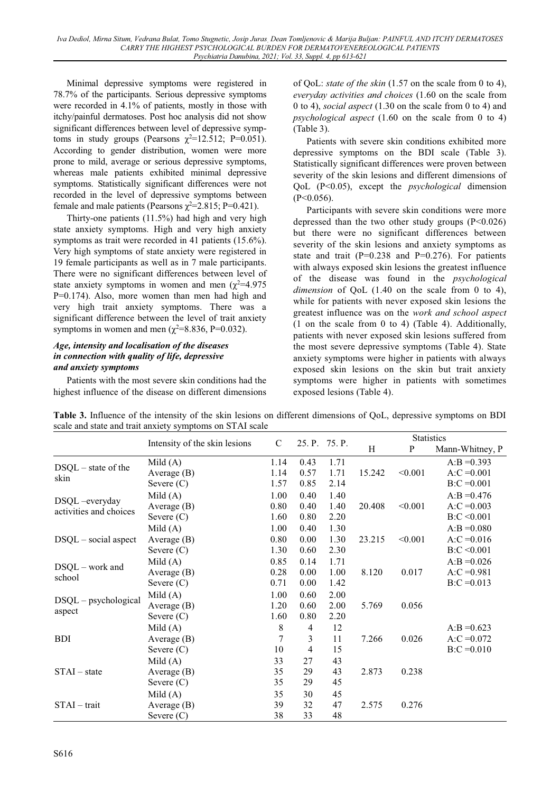Minimal depressive symptoms were registered in 78.7% of the participants. Serious depressive symptoms were recorded in 4.1% of patients, mostly in those with itchy/painful dermatoses. Post hoc analysis did not show significant differences between level of depressive symptoms in study groups (Pearsons  $\chi^2$ =12.512; P=0.051). According to gender distribution, women were more prone to mild, average or serious depressive symptoms, whereas male patients exhibited minimal depressive symptoms. Statistically significant differences were not recorded in the level of depressive symptoms between female and male patients (Pearsons  $\chi^2$ =2.815; P=0.421).

Thirty-one patients (11.5%) had high and very high state anxiety symptoms. High and very high anxiety symptoms as trait were recorded in 41 patients (15.6%). Very high symptoms of state anxiety were registered in 19 female participants as well as in 7 male participants. There were no significant differences between level of state anxiety symptoms in women and men  $(\chi^2=4.975$ P=0.174). Also, more women than men had high and very high trait anxiety symptoms. There was a significant difference between the level of trait anxiety symptoms in women and men ( $\chi^2$ =8.836, P=0.032).

#### *Age, intensity and localisation of the diseases in connection with quality of life, depressive and anxiety symptoms*

Patients with the most severe skin conditions had the highest influence of the disease on different dimensions of QoL: *state of the skin* (1.57 on the scale from 0 to 4), *everyday activities and choices* (1.60 on the scale from 0 to 4), *social aspect* (1.30 on the scale from 0 to 4) and *psychological aspect* (1.60 on the scale from 0 to 4) (Table 3).

Patients with severe skin conditions exhibited more depressive symptoms on the BDI scale (Table 3). Statistically significant differences were proven between severity of the skin lesions and different dimensions of QoL (P<0.05), except the *psychological* dimension  $(P<0.056)$ .

Participants with severe skin conditions were more depressed than the two other study groups  $(P<0.026)$ but there were no significant differences between severity of the skin lesions and anxiety symptoms as state and trait  $(P=0.238$  and  $P=0.276$ ). For patients with always exposed skin lesions the greatest influence of the disease was found in the *psychological dimension* of QoL (1.40 on the scale from 0 to 4), while for patients with never exposed skin lesions the greatest influence was on the *work and school aspect*  (1 on the scale from 0 to 4) (Table 4). Additionally, patients with never exposed skin lesions suffered from the most severe depressive symptoms (Table 4). State anxiety symptoms were higher in patients with always exposed skin lesions on the skin but trait anxiety symptoms were higher in patients with sometimes exposed lesions (Table 4).

**Table 3.** Influence of the intensity of the skin lesions on different dimensions of QoL, depressive symptoms on BDI scale and state and trait anxiety symptoms on STAI scale

|                                         | Intensity of the skin lesions | $\mathcal{C}$ |                | 25. P. 75. P. | Statistics |         |                 |
|-----------------------------------------|-------------------------------|---------------|----------------|---------------|------------|---------|-----------------|
|                                         |                               |               |                |               | H          | P       | Mann-Whitney, P |
| $DSQL - state of the$<br>skin           | Mild $(A)$                    | 1.14          | 0.43           | 1.71          |            |         | $A:B = 0.393$   |
|                                         | Average $(B)$                 | 1.14          | 0.57           | 1.71          | 15.242     | < 0.001 | $A:C = 0.001$   |
|                                         | Severe $(C)$                  | 1.57          | 0.85           | 2.14          |            |         | $B:C = 0.001$   |
|                                         | Mild $(A)$                    | 1.00          | 0.40           | 1.40          |            |         | $A:B = 0.476$   |
| DSQL-everyday<br>activities and choices | Average $(B)$                 | 0.80          | 0.40           | 1.40          | 20.408     | < 0.001 | $A: C = 0.003$  |
|                                         | Severe $(C)$                  | 1.60          | 0.80           | 2.20          |            |         | B:C < 0.001     |
|                                         | Mild $(A)$                    | 1.00          | 0.40           | 1.30          |            |         | $A:B = 0.080$   |
| $DSQL - social$ aspect                  | Average $(B)$                 | 0.80          | 0.00           | 1.30          | 23.215     | < 0.001 | $A:C = 0.016$   |
|                                         | Severe $(C)$                  | 1.30          | 0.60           | 2.30          |            |         | B:C < 0.001     |
|                                         | Mild $(A)$                    | 0.85          | 0.14           | 1.71          |            |         | $A:B = 0.026$   |
| DSQL - work and<br>school               | Average $(B)$                 | 0.28          | 0.00           | 1.00          | 8.120      | 0.017   | $A: C = 0.981$  |
|                                         | Severe $(C)$                  | 0.71          | 0.00           | 1.42          |            |         | $B:C = 0.013$   |
|                                         | Mild $(A)$                    | 1.00          | 0.60           | 2.00          |            |         |                 |
| $DSQL - psychological$                  | Average $(B)$                 | 1.20          | 0.60           | 2.00          | 5.769      | 0.056   |                 |
| aspect                                  | Severe $(C)$                  | 1.60          | 0.80           | 2.20          |            |         |                 |
|                                         | Mild $(A)$                    | 8             | $\overline{4}$ | 12            |            |         | $A:B = 0.623$   |
| <b>BDI</b>                              | Average $(B)$                 | 7             | $\mathfrak{Z}$ | 11            | 7.266      | 0.026   | $A: C = 0.072$  |
|                                         | Severe $(C)$                  | 10            | 4              | 15            |            |         | $B:C = 0.010$   |
| $STAI - state$                          | Mild $(A)$                    | 33            | 27             | 43            |            |         |                 |
|                                         | Average $(B)$                 | 35            | 29             | 43            | 2.873      | 0.238   |                 |
|                                         | Severe $(C)$                  | 35            | 29             | 45            |            |         |                 |
| $STAI - trait$                          | Mild $(A)$                    | 35            | 30             | 45            |            |         |                 |
|                                         | Average $(B)$                 | 39            | 32             | 47            | 2.575      | 0.276   |                 |
|                                         | Severe $(C)$                  | 38            | 33             | 48            |            |         |                 |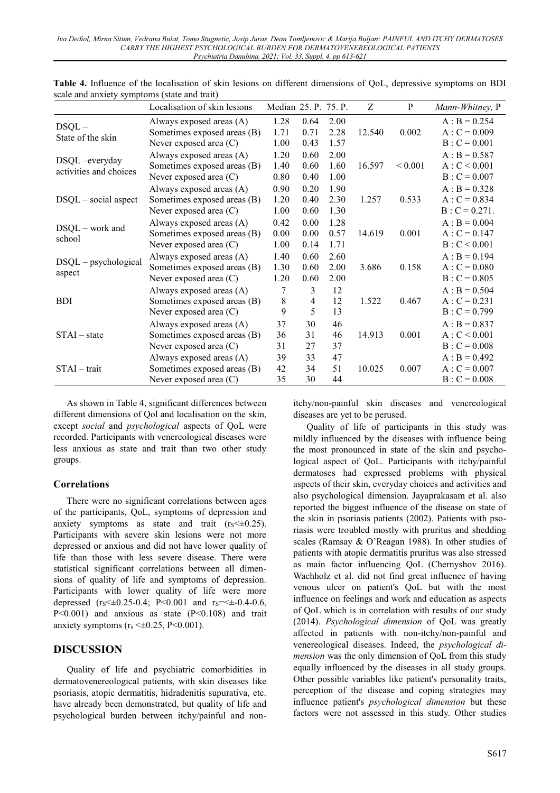|                                         | Localisation of skin lesions | Median 25. P. 75. P. |      |      | Z      | P            | Mann-Whitney, P |
|-----------------------------------------|------------------------------|----------------------|------|------|--------|--------------|-----------------|
| $DSQL -$<br>State of the skin           | Always exposed areas (A)     | 1.28                 | 0.64 | 2.00 |        |              | $A : B = 0.254$ |
|                                         | Sometimes exposed areas (B)  | 1.71                 | 0.71 | 2.28 | 12.540 | 0.002        | $A: C = 0.009$  |
|                                         | Never exposed area (C)       | 1.00                 | 0.43 | 1.57 |        |              | $B: C = 0.001$  |
|                                         | Always exposed areas (A)     | 1.20                 | 0.60 | 2.00 |        |              | $A : B = 0.587$ |
| DSQL-everyday<br>activities and choices | Sometimes exposed areas (B)  | 1.40                 | 0.60 | 1.60 | 16.597 | ${}_{0.001}$ | A: C < 0.001    |
|                                         | Never exposed area (C)       | 0.80                 | 0.40 | 1.00 |        |              | $B: C = 0.007$  |
|                                         | Always exposed areas (A)     | 0.90                 | 0.20 | 1.90 |        |              | $A : B = 0.328$ |
| $DSQL - social$ aspect                  | Sometimes exposed areas (B)  | 1.20                 | 0.40 | 2.30 | 1.257  | 0.533        | $A: C = 0.834$  |
|                                         | Never exposed area (C)       | 1.00                 | 0.60 | 1.30 |        |              | $B: C = 0.271.$ |
|                                         | Always exposed areas (A)     | 0.42                 | 0.00 | 1.28 |        |              | $A : B = 0.004$ |
| DSQL - work and                         | Sometimes exposed areas (B)  | 0.00                 | 0.00 | 0.57 | 14.619 | 0.001        | $A: C = 0.147$  |
| school                                  | Never exposed area (C)       | 1.00                 | 0.14 | 1.71 |        |              | B: C < 0.001    |
|                                         | Always exposed areas (A)     | 1.40                 | 0.60 | 2.60 |        |              | $A : B = 0.194$ |
| $DSQL - psychological$                  | Sometimes exposed areas (B)  | 1.30                 | 0.60 | 2.00 | 3.686  | 0.158        | $A: C = 0.080$  |
| aspect                                  | Never exposed area (C)       | 1.20                 | 0.60 | 2.00 |        |              | $B: C = 0.805$  |
|                                         | Always exposed areas (A)     | 7                    | 3    | 12   |        |              | $A : B = 0.504$ |
| <b>BDI</b>                              | Sometimes exposed areas (B)  | $8\,$                | 4    | 12   | 1.522  | 0.467        | $A: C = 0.231$  |
|                                         | Never exposed area (C)       | 9                    | 5    | 13   |        |              | $B: C = 0.799$  |
|                                         | Always exposed areas (A)     | 37                   | 30   | 46   |        |              | $A : B = 0.837$ |
| $STAI - state$                          | Sometimes exposed areas (B)  | 36                   | 31   | 46   | 14.913 | 0.001        | A: C < 0.001    |
|                                         | Never exposed area (C)       | 31                   | 27   | 37   |        |              | $B: C = 0.008$  |
|                                         | Always exposed areas (A)     | 39                   | 33   | 47   |        |              | $A : B = 0.492$ |
| $STAI - trait$                          | Sometimes exposed areas (B)  | 42                   | 34   | 51   | 10.025 | 0.007        | $A: C = 0.007$  |
|                                         | Never exposed area (C)       | 35                   | 30   | 44   |        |              | $B: C = 0.008$  |

**Table 4.** Influence of the localisation of skin lesions on different dimensions of QoL, depressive symptoms on BDI scale and anxiety symptoms (state and trait)

As shown in Table 4, significant differences between different dimensions of Qol and localisation on the skin, except *social* and *psychological* aspects of QoL were recorded. Participants with venereological diseases were less anxious as state and trait than two other study groups.

# **Correlations**

There were no significant correlations between ages of the participants, QoL, symptoms of depression and anxiety symptoms as state and trait  $(r<sub>S</sub><40.25)$ . Participants with severe skin lesions were not more depressed or anxious and did not have lower quality of life than those with less severe disease. There were statistical significant correlations between all dimensions of quality of life and symptoms of depression. Participants with lower quality of life were more depressed (rs  $\leq 0.25-0.4$ ; P < 0.001 and rs =  $\leq \pm 0.4-0.6$ , P<0.001) and anxious as state (P<0.108) and trait anxiety symptoms ( $r_s \leq 0.25$ , P<0.001).

# **DISCUSSION**

Quality of life and psychiatric comorbidities in dermatovenereological patients, with skin diseases like psoriasis, atopic dermatitis, hidradenitis supurativa, etc. have already been demonstrated, but quality of life and psychological burden between itchy/painful and nonitchy/non-painful skin diseases and venereological diseases are yet to be perused.

Quality of life of participants in this study was mildly influenced by the diseases with influence being the most pronounced in state of the skin and psychological aspect of QoL. Participants with itchy/painful dermatoses had expressed problems with physical aspects of their skin, everyday choices and activities and also psychological dimension. Jayaprakasam et al. also reported the biggest influence of the disease on state of the skin in psoriasis patients (2002). Patients with psoriasis were troubled mostly with pruritus and shedding scales (Ramsay & O'Reagan 1988). In other studies of patients with atopic dermatitis pruritus was also stressed as main factor influencing QoL (Chernyshov 2016). Wachholz et al. did not find great influence of having venous ulcer on patient's QoL but with the most influence on feelings and work and education as aspects of QoL which is in correlation with results of our study (2014). *Psychological dimension* of QoL was greatly affected in patients with non-itchy/non-painful and venereological diseases. Indeed, the *psychological dimension* was the only dimension of QoL from this study equally influenced by the diseases in all study groups. Other possible variables like patient's personality traits, perception of the disease and coping strategies may influence patient's *psychological dimension* but these factors were not assessed in this study. Other studies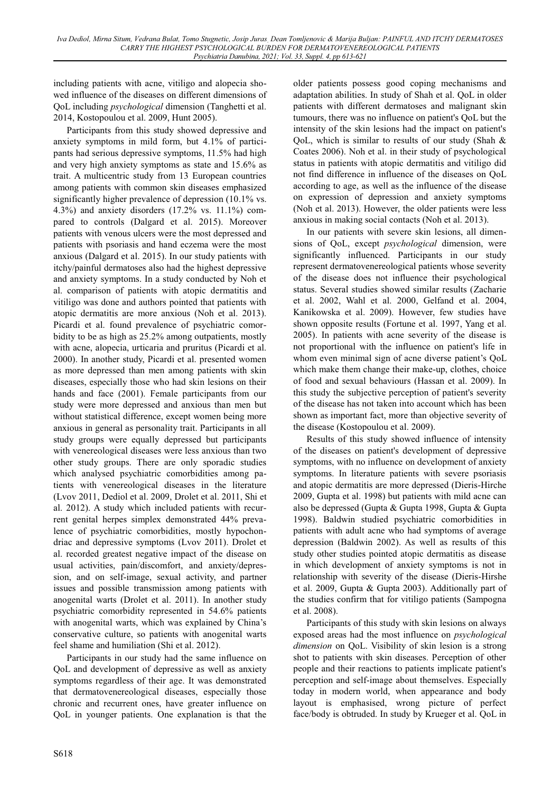including patients with acne, vitiligo and alopecia showed influence of the diseases on different dimensions of QoL including *psychological* dimension (Tanghetti et al. 2014, Kostopoulou et al. 2009, Hunt 2005).

Participants from this study showed depressive and anxiety symptoms in mild form, but 4.1% of participants had serious depressive symptoms, 11.5% had high and very high anxiety symptoms as state and 15.6% as trait. A multicentric study from 13 European countries among patients with common skin diseases emphasized significantly higher prevalence of depression (10.1% vs. 4.3%) and anxiety disorders (17.2% vs. 11.1%) compared to controls (Dalgard et al. 2015). Moreover patients with venous ulcers were the most depressed and patients with psoriasis and hand eczema were the most anxious (Dalgard et al. 2015). In our study patients with itchy/painful dermatoses also had the highest depressive and anxiety symptoms. In a study conducted by Noh et al. comparison of patients with atopic dermatitis and vitiligo was done and authors pointed that patients with atopic dermatitis are more anxious (Noh et al. 2013). Picardi et al. found prevalence of psychiatric comorbidity to be as high as 25.2% among outpatients, mostly with acne, alopecia, urticaria and pruritus (Picardi et al. 2000). In another study, Picardi et al. presented women as more depressed than men among patients with skin diseases, especially those who had skin lesions on their hands and face (2001). Female participants from our study were more depressed and anxious than men but without statistical difference, except women being more anxious in general as personality trait. Participants in all study groups were equally depressed but participants with venereological diseases were less anxious than two other study groups. There are only sporadic studies which analysed psychiatric comorbidities among patients with venereological diseases in the literature (Lvov 2011, Dediol et al. 2009, Drolet et al. 2011, Shi et al. 2012). A study which included patients with recurrent genital herpes simplex demonstrated 44% prevalence of psychiatric comorbidities, mostly hypochondriac and depressive symptoms (Lvov 2011). Drolet et al. recorded greatest negative impact of the disease on usual activities, pain/discomfort, and anxiety/depression, and on self-image, sexual activity, and partner issues and possible transmission among patients with anogenital warts (Drolet et al. 2011). In another study psychiatric comorbidity represented in 54.6% patients with anogenital warts, which was explained by China's conservative culture, so patients with anogenital warts feel shame and humiliation (Shi et al. 2012).

Participants in our study had the same influence on QoL and development of depressive as well as anxiety symptoms regardless of their age. It was demonstrated that dermatovenereological diseases, especially those chronic and recurrent ones, have greater influence on QoL in younger patients. One explanation is that the older patients possess good coping mechanisms and adaptation abilities. In study of Shah et al. QoL in older patients with different dermatoses and malignant skin tumours, there was no influence on patient's QoL but the intensity of the skin lesions had the impact on patient's OoL, which is similar to results of our study (Shah  $\&$ Coates 2006). Noh et al. in their study of psychological status in patients with atopic dermatitis and vitiligo did not find difference in influence of the diseases on QoL according to age, as well as the influence of the disease on expression of depression and anxiety symptoms (Noh et al. 2013). However, the older patients were less anxious in making social contacts (Noh et al. 2013).

In our patients with severe skin lesions, all dimensions of QoL, except *psychological* dimension, were significantly influenced. Participants in our study represent dermatovenereological patients whose severity of the disease does not influence their psychological status. Several studies showed similar results (Zacharie et al. 2002, Wahl et al. 2000, Gelfand et al. 2004, Kanikowska et al. 2009). However, few studies have shown opposite results (Fortune et al. 1997, Yang et al. 2005). In patients with acne severity of the disease is not proportional with the influence on patient's life in whom even minimal sign of acne diverse patient's QoL which make them change their make-up, clothes, choice of food and sexual behaviours (Hassan et al. 2009). In this study the subjective perception of patient's severity of the disease has not taken into account which has been shown as important fact, more than objective severity of the disease (Kostopoulou et al. 2009).

Results of this study showed influence of intensity of the diseases on patient's development of depressive symptoms, with no influence on development of anxiety symptoms. In literature patients with severe psoriasis and atopic dermatitis are more depressed (Dieris-Hirche 2009, Gupta et al. 1998) but patients with mild acne can also be depressed (Gupta & Gupta 1998, Gupta & Gupta 1998). Baldwin studied psychiatric comorbidities in patients with adult acne who had symptoms of average depression (Baldwin 2002). As well as results of this study other studies pointed atopic dermatitis as disease in which development of anxiety symptoms is not in relationship with severity of the disease (Dieris-Hirshe et al. 2009, Gupta & Gupta 2003). Additionally part of the studies confirm that for vitiligo patients (Sampogna et al. 2008).

Participants of this study with skin lesions on always exposed areas had the most influence on *psychological dimension* on QoL. Visibility of skin lesion is a strong shot to patients with skin diseases. Perception of other people and their reactions to patients implicate patient's perception and self-image about themselves. Especially today in modern world, when appearance and body layout is emphasised, wrong picture of perfect face/body is obtruded. In study by Krueger et al. QoL in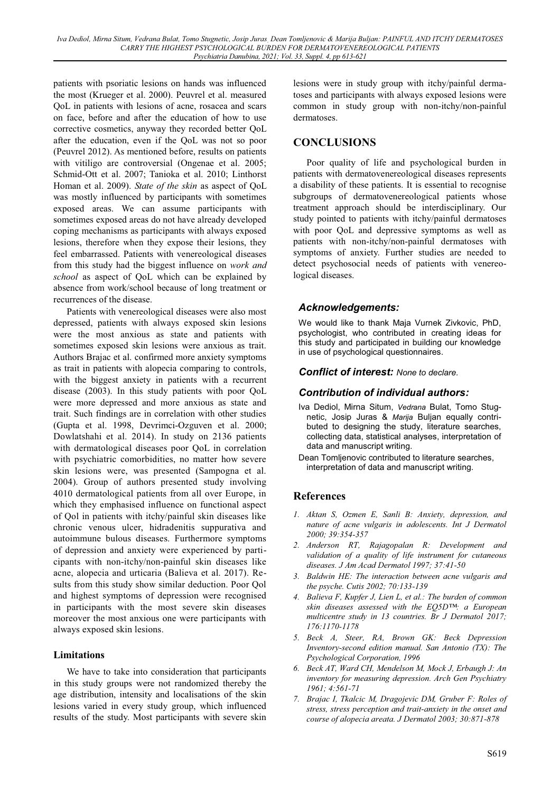patients with psoriatic lesions on hands was influenced the most (Krueger et al. 2000). Peuvrel et al. measured QoL in patients with lesions of acne, rosacea and scars on face, before and after the education of how to use corrective cosmetics, anyway they recorded better QoL after the education, even if the QoL was not so poor (Peuvrel 2012). As mentioned before, results on patients with vitiligo are controversial (Ongenae et al. 2005; Schmid-Ott et al. 2007; Tanioka et al. 2010; Linthorst Homan et al. 2009). *State of the skin* as aspect of QoL was mostly influenced by participants with sometimes exposed areas. We can assume participants with sometimes exposed areas do not have already developed coping mechanisms as participants with always exposed lesions, therefore when they expose their lesions, they feel embarrassed. Patients with venereological diseases from this study had the biggest influence on *work and school* as aspect of QoL which can be explained by absence from work/school because of long treatment or recurrences of the disease.

Patients with venereological diseases were also most depressed, patients with always exposed skin lesions were the most anxious as state and patients with sometimes exposed skin lesions were anxious as trait. Authors Brajac et al. confirmed more anxiety symptoms as trait in patients with alopecia comparing to controls, with the biggest anxiety in patients with a recurrent disease (2003). In this study patients with poor QoL were more depressed and more anxious as state and trait. Such findings are in correlation with other studies (Gupta et al. 1998, Devrimci-Ozguven et al. 2000; Dowlatshahi et al. 2014). In study on 2136 patients with dermatological diseases poor QoL in correlation with psychiatric comorbidities, no matter how severe skin lesions were, was presented (Sampogna et al. 2004). Group of authors presented study involving 4010 dermatological patients from all over Europe, in which they emphasised influence on functional aspect of Qol in patients with itchy/painful skin diseases like chronic venous ulcer, hidradenitis suppurativa and autoimmune bulous diseases. Furthermore symptoms of depression and anxiety were experienced by participants with non-itchy/non-painful skin diseases like acne, alopecia and urticaria (Balieva et al. 2017). Results from this study show similar deduction. Poor Qol and highest symptoms of depression were recognised in participants with the most severe skin diseases moreover the most anxious one were participants with always exposed skin lesions.

## **Limitations**

We have to take into consideration that participants in this study groups were not randomized thereby the age distribution, intensity and localisations of the skin lesions varied in every study group, which influenced results of the study. Most participants with severe skin lesions were in study group with itchy/painful dermatoses and participants with always exposed lesions were common in study group with non-itchy/non-painful dermatoses.

## **CONCLUSIONS**

Poor quality of life and psychological burden in patients with dermatovenereological diseases represents a disability of these patients. It is essential to recognise subgroups of dermatovenereological patients whose treatment approach should be interdisciplinary. Our study pointed to patients with itchy/painful dermatoses with poor QoL and depressive symptoms as well as patients with non-itchy/non-painful dermatoses with symptoms of anxiety. Further studies are needed to detect psychosocial needs of patients with venereological diseases.

## *Acknowledgements:*

We would like to thank Maja Vurnek Zivkovic, PhD, psychologist, who contributed in creating ideas for this study and participated in building our knowledge in use of psychological questionnaires.

#### *Conflict of interest: None to declare.*

## *Contribution of individual authors:*

- Iva Dediol, Mirna Situm, *Vedrana* Bulat, Tomo Stugnetic, Josip Juras & *Marija* Buljan equally contributed to designing the study, literature searches, collecting data, statistical analyses, interpretation of data and manuscript writing.
- Dean Tomljenovic contributed to literature searches, interpretation of data and manuscript writing.

## **References**

- *1. Aktan S, Ozmen E, Sanli B: Anxiety, depression, and nature of acne vulgaris in adolescents. Int J Dermatol 2000; 39:354-357*
- *2. Anderson RT, Rajagopalan R: Development and validation of a quality of life instrument for cutaneous diseases. J Am Acad Dermatol 1997; 37:41-50*
- *3. Baldwin HE: The interaction between acne vulgaris and the psyche. Cutis 2002; 70:133-139*
- *4. Balieva F, Kupfer J, Lien L, et al.: The burden of common skin diseases assessed with the EO5DTM a European multicentre study in 13 countries. Br J Dermatol 2017; 176:1170-1178*
- *5. Beck A, Steer, RA, Brown GK: Beck Depression Inventory-second edition manual. San Antonio (TX): The Psychological Corporation, 1996*
- *6. Beck AT, Ward CH, Mendelson M, Mock J, Erbaugh J: An inventory for measuring depression. Arch Gen Psychiatry 1961; 4:561-71*
- *7. Brajac I, Tkalcic M, Dragojevic DM, Gruber F: Roles of stress, stress perception and trait-anxiety in the onset and course of alopecia areata. J Dermatol 2003; 30:871-878*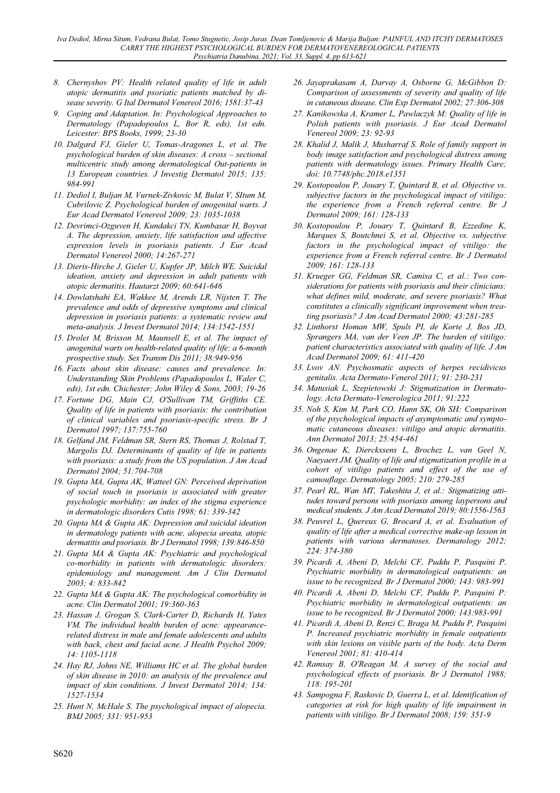- *8. Chernyshov PV: Health related quality of life in adult atopic dermatitis and psoriatic patients matched by disease severity. G Ital Dermatol Venereol 2016; 1581:37-43*
- *9. Coping and Adaptation. In: Psychological Approaches to Dermatology (Papadopoulos L, Bor R, eds), 1st edn. Leicester: BPS Books, 1999; 23-30*
- *10. Dalgard FJ, Gieler U, Tomas-Aragones L, et al. The psychological burden of skin diseases: A cross – sectional multicentric study among dermatological Out-patients in 13 European countries. J Investig Dermatol 2015; 135: 984-991*
- *11. Dediol I, Buljan M, Vurnek-Zivkovic M, Bulat V, SItum M, Cubrilovic Z. Psychological burden of anogenital warts. J Eur Acad Dermatol Venereol 2009; 23: 1035-1038*
- *12. Devrimci-Ozguven H, Kundakci TN, Kumbasar H, Boyvat A. The depression, anxiety, life satisfaction and affective expression levels in psoriasis patients. J Eur Acad Dermatol Venereol 2000; 14:267-271*
- *13. Dieris-Hirche J, Gieler U, Kupfer JP, Milch WE. Suicidal ideation, anxiety and depression in adult patients with atopic dermatitis. Hautarzt 2009; 60:641-646*
- *14. Dowlatshahi EA, Wakkee M, Arends LR, Nijsten T. The prevalence and odds of depressive symptoms and clinical depression in psoriasis patients: a systematic review and meta-analysis. J Invest Dermatol 2014; 134:1542-1551*
- *15. Drolet M, Brisson M, Maunsell E, et al. The impact of anogenital warts on health-related quality of life: a 6-month prospective study. Sex Transm Dis 2011; 38:949-956*
- *16. Facts about skin disease: causes and prevalence. In: Understanding Skin Problems (Papadopoulos L, Waler C, eds), 1st edn. Chichester: John Wiley & Sons, 2003; 19-26*
- *17. Fortune DG, Main CJ, O'Sullivan TM, Griffiths CE. Quality of life in patients with psoriasis: the contribution of clinical variables and psoriasis-specific stress. Br J Dermatol 1997; 137:755-760*
- *18. Gelfand JM, Feldman SR, Stern RS, Thomas J, Rolstad T, Margolis DJ. Determinants of quality of life in patients with psoriasis: a study from the US population. J Am Acad Dermatol 2004; 51:704-708*
- *19. Gupta MA, Gupta AK, Watteel GN: Perceived deprivation of social touch in psoriasis is associated with greater psychologic morbidity: an index of the stigma experience in dermatologic disorders Cutis 1998; 61: 339-342*
- *20. Gupta MA & Gupta AK: Depression and suicidal ideation in dermatology patients with acne, alopecia areata, atopic dermatitis and psoriasis. Br J Dermatol 1998; 139:846-850*
- *21. Gupta MA & Gupta AK: Psychiatric and psychological co-morbidity in patients with dermatologic disorders: epidemiology and management. Am J Clin Dermatol 2003; 4: 833-842*
- *22. Gupta MA & Gupta AK: The psychological comorbidity in acne. Clin Dermatol 2001; 19:360-363*
- *23. Hassan J, Grogan S, Clark-Carter D, Richards H, Yates VM. The individual health burden of acne: appearancerelated distress in male and female adolescents and adults with back, chest and facial acne. J Health Psychol 2009; 14: 1105-1118*
- *24. Hay RJ, Johns NE, Williams HC et al. The global burden of skin disease in 2010: an analysis of the prevalence and impact of skin conditions. J Invest Dermatol 2014; 134: 1527-1534*
- *25. Hunt N, McHale S. The psychological impact of alopecia. BMJ 2005; 331: 951-953*
- *26. Jayaprakasam A, Darvay A, Osborne G, McGibbon D: Comparison of assessments of severity and quality of life in cutaneous disease. Clin Exp Dermatol 2002; 27:306-308*
- *27. Kanikowska A, Kramer L, Pawlaczyk M: Quality of life in Polish patients with psoriasis. J Eur Acad Dermatol Venereol 2009; 23: 92-93*
- *28. Khalid J, Malik J, Musharraf S. Role of family support in body image satisfaction and psychological distress among patients with dermatology issues. Primary Health Care; doi: 10.7748/phc.2018.e1351*
- *29. Kostopoulou P, Jouary T, Quintard B, et al. Objective vs. subjective factors in the psychological impact of vitiligo: the experience from a French referral centre. Br J Dermatol 2009; 161: 128-133*
- *30. Kostopoulou P, Jouary T, Quintard B, Ezzedine K, Marques S, Boutchnei S, et al. Objective vs. subjective*  factors in the psychological impact of vitiligo: the *experience from a French referral centre. Br J Dermatol 2009; 161: 128-133*
- *31. Krueger GG, Feldman SR, Camisa C, et al.: Two considerations for patients with psoriasis and their clinicians: what defines mild, moderate, and severe psoriasis? What constitutes a clinically significant improvement when treating psoriasis? J Am Acad Dermatol 2000; 43:281-285*
- *32. Linthorst Homan MW, Spuls PI, de Korte J, Bos JD, Sprangers MA, van der Veen JP. The burden of vitiligo: patient characteristics associated with quality of life. J Am Acad Dermatol 2009; 61: 411-420*
- *33. Lvov AN. Psychosmatic aspects of herpes recidivicus genitalis. Acta Dermato-Venerol 2011; 91: 230-231*
- *34. Matusiak L, Szepietowski J: Stigmatization in Dermatology. Acta Dermato-Venerologica 2011; 91:222*
- *35. Noh S, Kim M, Park CO, Hann SK, Oh SH: Comparison of the psychological impacts of asymptomatic and symptomatic cutaneous diseases: vitiligo and atopic dermatitis. Ann Dermatol 2013; 25:454-461*
- *36. Ongenae K, Dierckxsens L, Brochez L, van Geel N, Naeyaert JM. Quality of life and stigmatization profile in a cohort of vitiligo patients and effect of the use of camouflage. Dermatology 2005; 210: 279-285*
- *37. Pearl RL, Wan MT, Takeshita J, et al.: Stigmatizing attitudes toward persons with psoriasis among laypersons and medical students. J Am Acad Dermatol 2019; 80:1556-1563*
- *38. Peuvrel L, Quereux G, Brocard A, et al. Evaluation of quality of life after a medical corrective make-up lesson in patients with various dermatoses. Dermatology 2012; 224: 374-380*
- *39. Picardi A, Abeni D, Melchi CF, Puddu P, Pasquini P. Psychiatric morbidity in dermatological outpatients: an issue to be recognized. Br J Dermatol 2000; 143: 983-991*
- *40. Picardi A, Abeni D, Melchi CF, Puddu P, Pasquini P: Psychiatric morbidity in dermatological outpatients: an issue to be recognized. Br J Dermatol 2000; 143:983-991*
- *41. Picardi A, Abeni D, Renzi C, Braga M, Puddu P, Pasquini P. Increased psychiatric morbidity in female outpatients with skin lesions on visible parts of the body. Acta Derm Venereol 2001; 81: 410-414*
- *42. Ramsay B, O'Reagan M. A survey of the social and psychological effects of psoriasis. Br J Dermatol 1988; 118: 195-201*
- *43. Sampogna F, Raskovic D, Guerra L, et al. Identification of categories at risk for high quality of life impairment in patients with vitiligo. Br J Dermatol 2008; 159: 351-9*